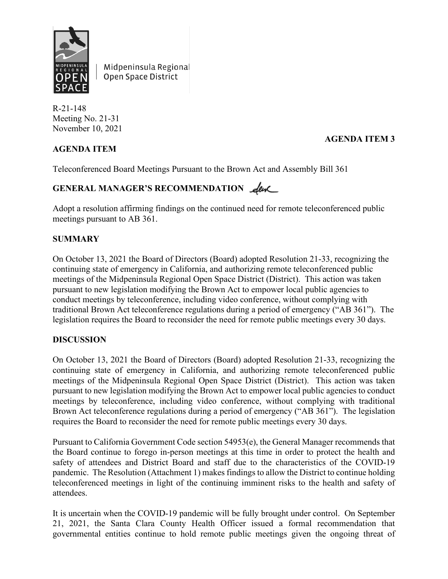

Midpeninsula Regional Open Space District

R-21-148 Meeting No. 21-31 November 10, 2021

## **AGENDA ITEM**

### **AGENDA ITEM 3**

Teleconferenced Board Meetings Pursuant to the Brown Act and Assembly Bill 361

# GENERAL MANAGER'S RECOMMENDATION **Leve**

Adopt a resolution affirming findings on the continued need for remote teleconferenced public meetings pursuant to AB 361.

#### **SUMMARY**

On October 13, 2021 the Board of Directors (Board) adopted Resolution 21-33, recognizing the continuing state of emergency in California, and authorizing remote teleconferenced public meetings of the Midpeninsula Regional Open Space District (District). This action was taken pursuant to new legislation modifying the Brown Act to empower local public agencies to conduct meetings by teleconference, including video conference, without complying with traditional Brown Act teleconference regulations during a period of emergency ("AB 361"). The legislation requires the Board to reconsider the need for remote public meetings every 30 days.

#### **DISCUSSION**

On October 13, 2021 the Board of Directors (Board) adopted Resolution 21-33, recognizing the continuing state of emergency in California, and authorizing remote teleconferenced public meetings of the Midpeninsula Regional Open Space District (District). This action was taken pursuant to new legislation modifying the Brown Act to empower local public agencies to conduct meetings by teleconference, including video conference, without complying with traditional Brown Act teleconference regulations during a period of emergency ("AB 361"). The legislation requires the Board to reconsider the need for remote public meetings every 30 days.

Pursuant to California Government Code section 54953(e), the General Manager recommends that the Board continue to forego in-person meetings at this time in order to protect the health and safety of attendees and District Board and staff due to the characteristics of the COVID-19 pandemic. The Resolution (Attachment 1) makes findings to allow the District to continue holding teleconferenced meetings in light of the continuing imminent risks to the health and safety of attendees.

It is uncertain when the COVID-19 pandemic will be fully brought under control. On September 21, 2021, the Santa Clara County Health Officer issued a formal recommendation that governmental entities continue to hold remote public meetings given the ongoing threat of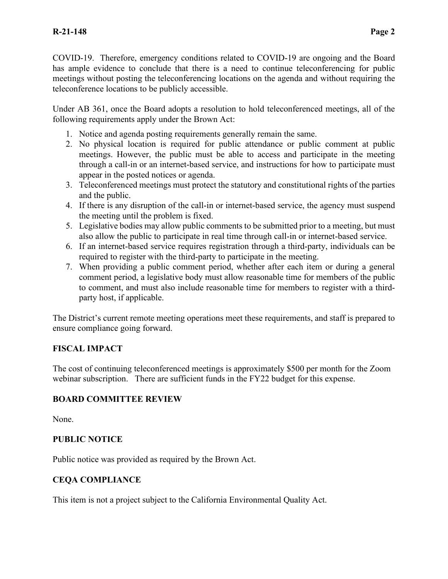COVID-19. Therefore, emergency conditions related to COVID-19 are ongoing and the Board has ample evidence to conclude that there is a need to continue teleconferencing for public meetings without posting the teleconferencing locations on the agenda and without requiring the teleconference locations to be publicly accessible.

Under AB 361, once the Board adopts a resolution to hold teleconferenced meetings, all of the following requirements apply under the Brown Act:

- 1. Notice and agenda posting requirements generally remain the same.
- 2. No physical location is required for public attendance or public comment at public meetings. However, the public must be able to access and participate in the meeting through a call-in or an internet-based service, and instructions for how to participate must appear in the posted notices or agenda.
- 3. Teleconferenced meetings must protect the statutory and constitutional rights of the parties and the public.
- 4. If there is any disruption of the call-in or internet-based service, the agency must suspend the meeting until the problem is fixed.
- 5. Legislative bodies may allow public comments to be submitted prior to a meeting, but must also allow the public to participate in real time through call-in or internet-based service.
- 6. If an internet-based service requires registration through a third-party, individuals can be required to register with the third-party to participate in the meeting.
- 7. When providing a public comment period, whether after each item or during a general comment period, a legislative body must allow reasonable time for members of the public to comment, and must also include reasonable time for members to register with a thirdparty host, if applicable.

The District's current remote meeting operations meet these requirements, and staff is prepared to ensure compliance going forward.

## **FISCAL IMPACT**

The cost of continuing teleconferenced meetings is approximately \$500 per month for the Zoom webinar subscription. There are sufficient funds in the FY22 budget for this expense.

## **BOARD COMMITTEE REVIEW**

None.

## **PUBLIC NOTICE**

Public notice was provided as required by the Brown Act.

## **CEQA COMPLIANCE**

This item is not a project subject to the California Environmental Quality Act.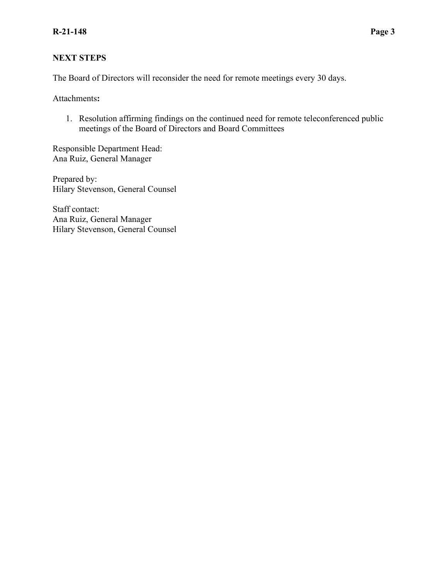### **NEXT STEPS**

The Board of Directors will reconsider the need for remote meetings every 30 days.

Attachments**:**

1. Resolution affirming findings on the continued need for remote teleconferenced public meetings of the Board of Directors and Board Committees

Responsible Department Head: Ana Ruiz, General Manager

Prepared by: Hilary Stevenson, General Counsel

Staff contact: Ana Ruiz, General Manager Hilary Stevenson, General Counsel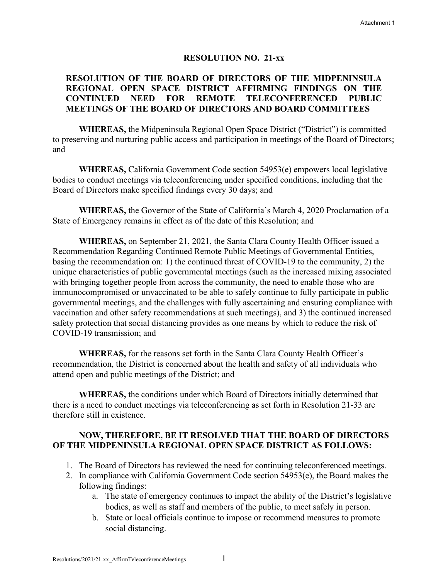#### **RESOLUTION NO. 21-xx**

#### **RESOLUTION OF THE BOARD OF DIRECTORS OF THE MIDPENINSULA REGIONAL OPEN SPACE DISTRICT AFFIRMING FINDINGS ON THE CONTINUED NEED FOR REMOTE TELECONFERENCED PUBLIC MEETINGS OF THE BOARD OF DIRECTORS AND BOARD COMMITTEES**

**WHEREAS,** the Midpeninsula Regional Open Space District ("District") is committed to preserving and nurturing public access and participation in meetings of the Board of Directors; and

**WHEREAS,** California Government Code section 54953(e) empowers local legislative bodies to conduct meetings via teleconferencing under specified conditions, including that the Board of Directors make specified findings every 30 days; and

**WHEREAS,** the Governor of the State of California's March 4, 2020 Proclamation of a State of Emergency remains in effect as of the date of this Resolution; and

**WHEREAS,** on September 21, 2021, the Santa Clara County Health Officer issued a Recommendation Regarding Continued Remote Public Meetings of Governmental Entities, basing the recommendation on: 1) the continued threat of COVID-19 to the community, 2) the unique characteristics of public governmental meetings (such as the increased mixing associated with bringing together people from across the community, the need to enable those who are immunocompromised or unvaccinated to be able to safely continue to fully participate in public governmental meetings, and the challenges with fully ascertaining and ensuring compliance with vaccination and other safety recommendations at such meetings), and 3) the continued increased safety protection that social distancing provides as one means by which to reduce the risk of COVID-19 transmission; and

**WHEREAS,** for the reasons set forth in the Santa Clara County Health Officer's recommendation, the District is concerned about the health and safety of all individuals who attend open and public meetings of the District; and

**WHEREAS,** the conditions under which Board of Directors initially determined that there is a need to conduct meetings via teleconferencing as set forth in Resolution 21-33 are therefore still in existence.

#### **NOW, THEREFORE, BE IT RESOLVED THAT THE BOARD OF DIRECTORS OF THE MIDPENINSULA REGIONAL OPEN SPACE DISTRICT AS FOLLOWS:**

- 1. The Board of Directors has reviewed the need for continuing teleconferenced meetings.
- 2. In compliance with California Government Code section 54953(e), the Board makes the following findings:
	- a. The state of emergency continues to impact the ability of the District's legislative bodies, as well as staff and members of the public, to meet safely in person.
	- b. State or local officials continue to impose or recommend measures to promote social distancing.